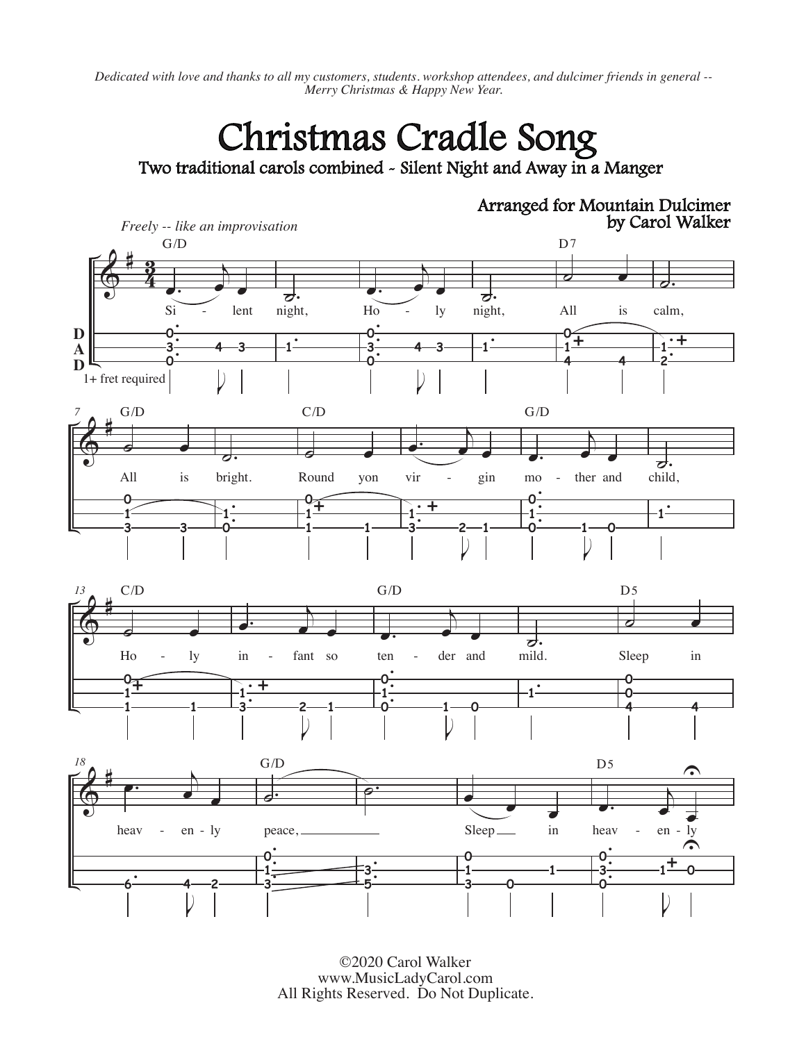*Dedicated with love and thanks to all my customers, students. workshop attendees, and dulcimer friends in general -- Merry Christmas & Happy New Year.*

## Christmas Cradle Song

Two traditional carols combined - Silent Night and Away in a Manger



©2020 Carol Walker www.MusicLadyCarol.com All Rights Reserved. Do Not Duplicate.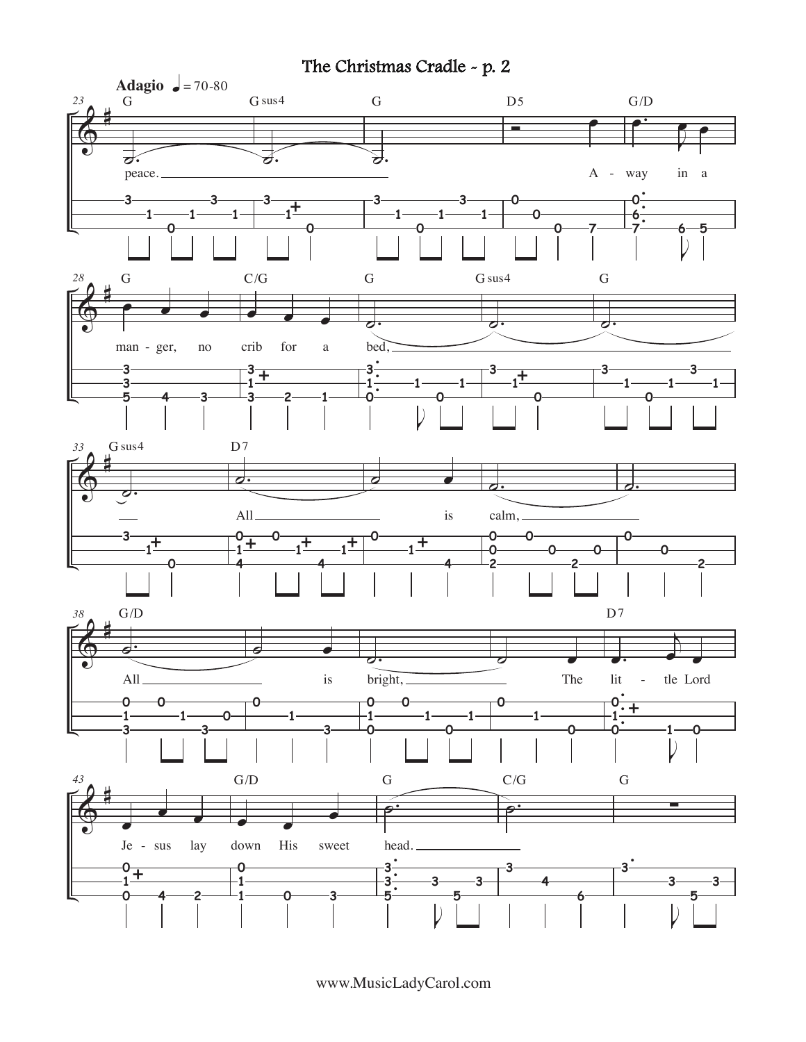The Christmas Cradle - p. 2



www.MusicLadyCarol.com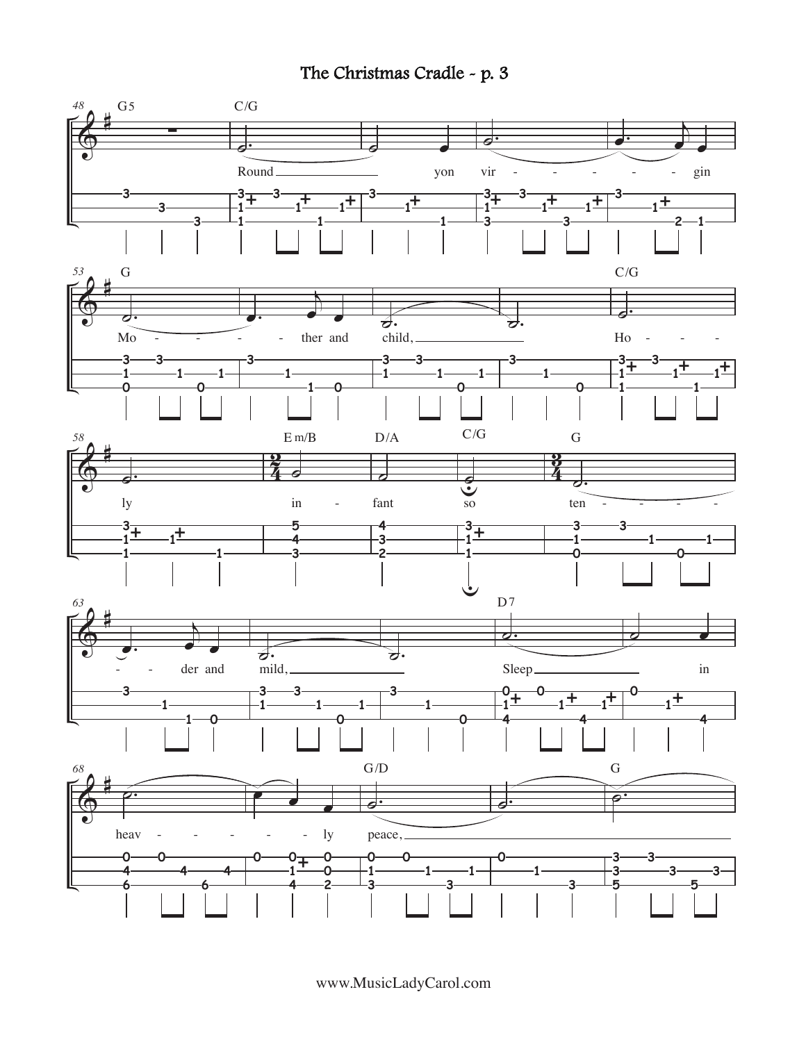The Christmas Cradle - p. 3



www.MusicLadyCarol.com